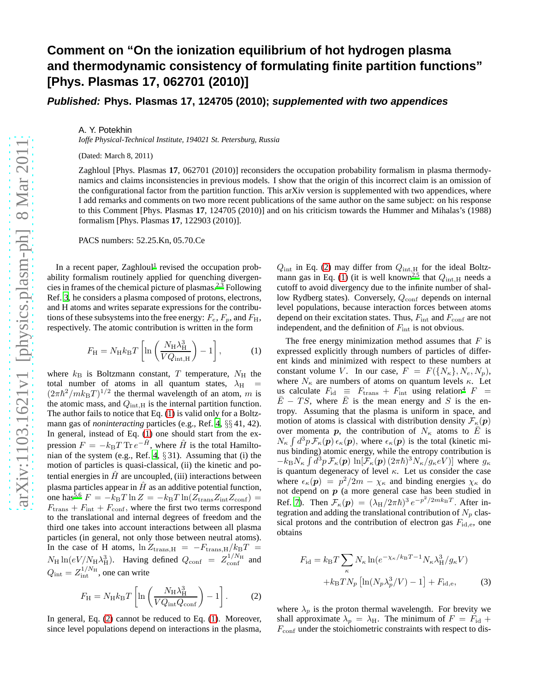## **Comment on "On the ionization equilibrium of hot hydrogen plasma and thermodynamic consistency of formulating finite partition functions" [Phys. Plasmas 17, 062701 (2010)]**

**Published: Phys. Plasmas 17, 124705 (2010); supplemented with two appendices**

A. Y. Potekhin

*Ioffe Physical-Technical Institute, 194021 St. Petersburg, Russia*

(Dated: March 8, 2011)

Zaghloul [Phys. Plasmas **17**, 062701 (2010)] reconsiders the occupation probability formalism in plasma thermodynamics and claims inconsistencies in previous models. I show that the origin of this incorrect claim is an omission of the configurational factor from the partition function. This arXiv version is supplemented with two appendices, where I add remarks and comments on two more recent publications of the same author on the same subject: on his response to this Comment [Phys. Plasmas **17**, 124705 (2010)] and on his criticism towards the Hummer and Mihalas's (1988) formalism [Phys. Plasmas **17**, 122903 (2010)].

PACS numbers: 52.25.Kn, 05.70.Ce

In a recent paper, Zaghloul<sup>[1](#page-3-0)</sup> revised the occupation probability formalism routinely applied for quenching divergencies in frames of the chemical picture of plasmas[.](#page-3-1)2[,3](#page-3-2) Following Ref. [3](#page-3-2), he considers a plasma composed of protons, electrons, and H atoms and writes separate expressions for the contributions of these subsystems into the free energy:  $F_e$ ,  $F_p$ , and  $F_H$ , respectively. The atomic contribution is written in the form

<span id="page-0-0"></span>
$$
F_{\rm H} = N_{\rm H} k_{\rm B} T \left[ \ln \left( \frac{N_{\rm H} \lambda_{\rm H}^3}{V Q_{\rm int, H}} \right) - 1 \right],\tag{1}
$$

where  $k_B$  is Boltzmann constant, T temperature,  $N_H$  the total number of atoms in all quantum states,  $\lambda_H$  =  $(2\pi\hbar^2/mk_BT)^{1/2}$  the thermal wavelength of an atom, m is the atomic mass, and  $Q_{int,H}$  is the internal partition function. The author fails to notice that Eq. [\(1\)](#page-0-0) is valid only for a Boltzmann gas of *noninteracting* particles (e.g., Ref. [4](#page-3-3), §§ 41, 42). In general, instead of Eq. [\(1\)](#page-0-0) one should start from the expression  $F = -k_{\text{B}}T \text{Tr} e^{-\hat{H}}$ , where  $\hat{H}$  is the total Hamilto-nian of the system (e.g., Ref. [4](#page-3-3),  $\S 31$ ). Assuming that (i) the motion of particles is quasi-classical, (ii) the kinetic and potential energies in  $\hat{H}$  are uncoupled, (iii) interactions between plasma particles appear in  $\hat{H}$  as an additive potential function, one has<sup>[5](#page-3-4)[,6](#page-3-5)</sup>  $F = -k_BT \ln Z = -k_BT \ln(Z_{\text{trans}}Z_{\text{int}}Z_{\text{conf}})$  $F_{\text{trans}} + F_{\text{int}} + F_{\text{conf}}$ , where the first two terms correspond to the translational and internal degrees of freedom and the third one takes into account interactions between all plasma particles (in general, not only those between neutral atoms). In the case of H atoms,  $\ln Z_{trans,H} = -F_{trans,H}/k_BT$  $N_{\rm H} \ln(eV/N_{\rm H}\lambda_{\rm H}^3)$ . Having defined  $Q_{\rm conf} = Z_{\rm conf}^{1/N_{\rm H}}$  and  $Q_{\text{int}} = Z_{\text{int}}^{1/N_{\text{H}}}$ , one can write

<span id="page-0-1"></span>
$$
F_{\rm H} = N_{\rm H} k_{\rm B} T \left[ \ln \left( \frac{N_{\rm H} \lambda_{\rm H}^3}{V Q_{\rm int} Q_{\rm conf}} \right) - 1 \right].
$$
 (2)

In general, Eq. [\(2\)](#page-0-1) cannot be reduced to Eq. [\(1\)](#page-0-0). Moreover, since level populations depend on interactions in the plasma,

 $Q_{\text{int}}$  in Eq. [\(2\)](#page-0-1) may differ from  $Q_{\text{int,H}}$  for the ideal Boltz-mann gas in Eq. [\(1\)](#page-0-0) (it is well known<sup>[2](#page-3-1)[,5](#page-3-4)</sup> that  $Q_{int,H}$  needs a cutoff to avoid divergency due to the infinite number of shallow Rydberg states). Conversely,  $Q_{\text{conf}}$  depends on internal level populations, because interaction forces between atoms depend on their excitation states. Thus,  $F_{int}$  and  $F_{conf}$  are not independent, and the definition of  $F_{\text{int}}$  is not obvious.

The free energy minimization method assumes that  $F$  is expressed explicitly through numbers of particles of different kinds and minimized with respect to these numbers at constant volume V. In our case,  $F = F({N_{\kappa}}, N_{e}, N_{p}),$ where  $N_{\kappa}$  are numbers of atoms on quantum levels  $\kappa$ . Let us calculate  $F_{\text{id}} \equiv F_{\text{trans}} + F_{\text{int}}$  using relation<sup>[4](#page-3-3)</sup>  $F =$  $E - TS$ , where E is the mean energy and S is the entropy. Assuming that the plasma is uniform in space, and motion of atoms is classical with distribution density  $\mathcal{F}_{\kappa}(\boldsymbol{p})$ over momenta p, the contribution of  $N_{\kappa}$  atoms to  $\overline{E}$  is  $N_{\kappa} \int d^3p \, \mathcal{F}_{\kappa}(p) \, \epsilon_{\kappa}(p)$ , where  $\epsilon_{\kappa}(p)$  is the total (kinetic minus binding) atomic energy, while the entropy contribution is  $-k_\text{B}N_\kappa \int d^3p \, \mathcal{F}_\kappa(\boldsymbol{p}) \, \ln[\mathcal{F}_\kappa(\boldsymbol{p}) (2\pi\hbar)^3 N_\kappa/g_\kappa eV]$  where  $g_\kappa$ is quantum degeneracy of level  $\kappa$ . Let us consider the case where  $\epsilon_{\kappa}(\mathbf{p}) = p^2/2m - \chi_{\kappa}$  and binding energies  $\chi_{\kappa}$  do not depend on  $p$  (a more general case has been studied in Ref. [7\)](#page-3-6). Then  $\mathcal{F}_{\kappa}(\mathbf{p}) = (\lambda_{\rm H}/2\pi\hbar)^3 e^{-p^2/2mk_{\rm B}T}$ . After integration and adding the translational contribution of  $N_p$  classical protons and the contribution of electron gas  $F_{\rm id,e}$ , one obtains

<span id="page-0-2"></span>
$$
F_{\rm id} = k_{\rm B} T \sum_{\kappa} N_{\kappa} \ln(e^{-\chi_{\kappa}/k_{\rm B}T - 1} N_{\kappa} \lambda_{\rm H}^3 / g_{\kappa} V)
$$

$$
+ k_{\rm B} T N_p \left[ \ln(N_p \lambda_p^3 / V) - 1 \right] + F_{\rm id,e},\tag{3}
$$

where  $\lambda_p$  is the proton thermal wavelength. For brevity we shall approximate  $\lambda_p = \lambda_H$ . The minimum of  $F = F_{id} +$  $F_{\text{conf}}$  under the stoichiometric constraints with respect to dis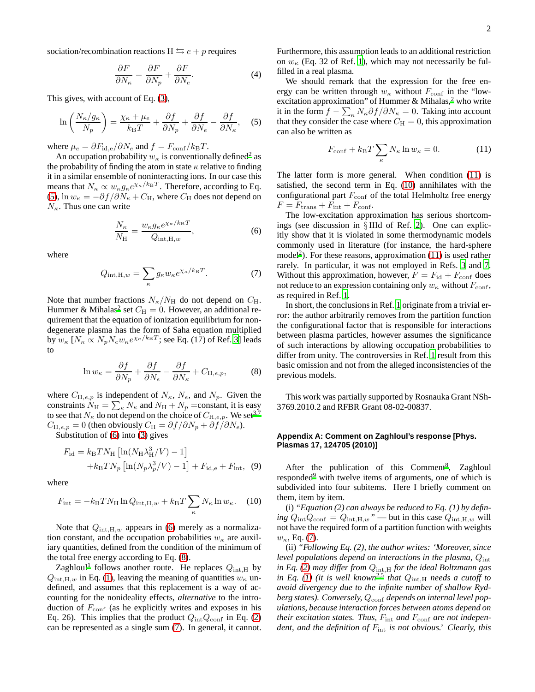sociation/recombination reactions  $H \leftrightarrows e + p$  requires

<span id="page-1-6"></span>
$$
\frac{\partial F}{\partial N_{\kappa}} = \frac{\partial F}{\partial N_{p}} + \frac{\partial F}{\partial N_{e}}.
$$
\n(4)

This gives, with account of Eq. [\(3\)](#page-0-2),

<span id="page-1-0"></span>
$$
\ln\left(\frac{N_{\kappa}/g_{\kappa}}{N_{p}}\right) = \frac{\chi_{\kappa} + \mu_{e}}{k_{\mathrm{B}}T} + \frac{\partial f}{\partial N_{p}} + \frac{\partial f}{\partial N_{e}} - \frac{\partial f}{\partial N_{\kappa}}, \quad (5)
$$

where  $\mu_e = \partial F_{\rm id,e}/\partial N_e$  and  $f = F_{\rm conf}/k_BT$ .

An occupation probability  $w_{\kappa}$  is conventionally defined<sup>[2](#page-3-1)</sup> as the probability of finding the atom in state  $\kappa$  relative to finding it in a similar ensemble of noninteracting ions. In our case this means that  $N_{\kappa} \propto w_{\kappa} g_{\kappa} e^{\chi_{\kappa}/k_{\rm B}T}$ . Therefore, according to Eq. [\(5\)](#page-1-0),  $\ln w_{\kappa} = -\partial f / \partial N_{\kappa} + C_H$ , where  $C_H$  does not depend on  $N_{\kappa}$ . Thus one can write

<span id="page-1-1"></span>
$$
\frac{N_{\kappa}}{N_{\mathrm{H}}} = \frac{w_{\kappa} g_{\kappa} e^{\chi_{\kappa}/k_{\mathrm{B}}T}}{Q_{\mathrm{int,H,w}}},\tag{6}
$$

where

<span id="page-1-3"></span>
$$
Q_{\text{int,H},w} = \sum_{\kappa} g_{\kappa} w_{\kappa} e^{\chi_{\kappa}/k_{\text{B}}T}.
$$
 (7)

Note that number fractions  $N_{\kappa}/N_{\rm H}$  do not depend on  $C_{\rm H}$ . Hummer & Mihalas<sup>[2](#page-3-1)</sup> set  $C_H = 0$ . However, an additional requirement that the equation of ionization equilibrium for nondegenerate plasma has the form of Saha equation multiplied by  $w_{\kappa}$  [ $N_{\kappa} \propto N_p N_e w_{\kappa} e^{\chi_{\kappa}/k_{\rm B}T}$ ; see Eq. (17) of Ref. [3\]](#page-3-2) leads to

<span id="page-1-2"></span>
$$
\ln w_{\kappa} = \frac{\partial f}{\partial N_p} + \frac{\partial f}{\partial N_e} - \frac{\partial f}{\partial N_{\kappa}} + C_{\mathrm{H},e,p},\tag{8}
$$

where  $C_{H,e,p}$  is independent of  $N_{\kappa}$ ,  $N_e$ , and  $N_p$ . Given the constraints  $N_{\rm H} = \sum_{\kappa} N_{\kappa}$  and  $N_{\rm H} + N_{p}$  =constant, it is easy to see that  $N_{\kappa}$  do not depend on the choice of  $C_{\mathrm{H},e,p}$ . We set<sup>[3](#page-3-2)[,7](#page-3-6)</sup>  $C_{\text{H},e,p} = 0$  (then obviously  $C_{\text{H}} = \partial f / \partial N_p + \partial f / \partial N_e$ ).

Substitution of [\(6\)](#page-1-1) into [\(3\)](#page-0-2) gives

$$
F_{\rm id} = k_{\rm B} T N_{\rm H} \left[ \ln(N_{\rm H} \lambda_{\rm H}^3 / V) - 1 \right]
$$
  
+  $k_{\rm B} T N_p \left[ \ln(N_p \lambda_p^3 / V) - 1 \right] + F_{\rm id,e} + F_{\rm int}$ , (9)

where

<span id="page-1-5"></span>
$$
F_{\rm int} = -k_{\rm B} T N_{\rm H} \ln Q_{\rm int, H, w} + k_{\rm B} T \sum_{\kappa} N_{\kappa} \ln w_{\kappa}.
$$
 (10)

Note that  $Q_{\text{int,H},w}$  appears in [\(6\)](#page-1-1) merely as a normalization constant, and the occupation probabilities  $w_{\kappa}$  are auxiliary quantities, defined from the condition of the minimum of the total free energy according to Eq. [\(8\)](#page-1-2).

Zaghloul<sup>[1](#page-3-0)</sup> follows another route. He replaces  $Q_{\text{int},H}$  by  $Q_{\text{int},H,w}$  in Eq. [\(1\)](#page-0-0), leaving the meaning of quantities  $w_{\kappa}$  undefined, and assumes that this replacement is a way of accounting for the nonideality effects, *alternative* to the introduction of  $F_{\text{conf}}$  (as he explicitly writes and exposes in his Eq. 26). This implies that the product  $Q_{\text{int}}Q_{\text{conf}}$  in Eq. [\(2\)](#page-0-1) can be represented as a single sum [\(7\)](#page-1-3). In general, it cannot.

Furthermore, this assumption leads to an additional restriction on  $w_{\kappa}$  (Eq. 32 of Ref. [1](#page-3-0)), which may not necessarily be fulfilled in a real plasma.

We should remark that the expression for the free energy can be written through  $w_{\kappa}$  without  $F_{\text{conf}}$  in the "low-excitation approximation" of Hummer & Mihalas[,](#page-3-1)<sup>2</sup> who write it in the form  $f - \sum_{\kappa} N_{\kappa} \partial f / \partial N_{\kappa} = 0$ . Taking into account that they consider the case where  $C_{\rm H} = 0$ , this approximation can also be written as

<span id="page-1-4"></span>
$$
F_{\text{conf}} + k_{\text{B}}T \sum_{\kappa} N_{\kappa} \ln w_{\kappa} = 0. \tag{11}
$$

The latter form is more general. When condition [\(11\)](#page-1-4) is satisfied, the second term in Eq. [\(10\)](#page-1-5) annihilates with the configurational part  $F_{\text{conf}}$  of the total Helmholtz free energy  $F = F_{\text{trans}} + F_{\text{int}} + F_{\text{conf}}.$ 

The low-excitation approximation has serious shortcomings (see discussion in § IIId of Ref. [2\)](#page-3-1). One can explicitly show that it is violated in some thermodynamic models commonly used in literature (for instance, the hard-sphere mode[l](#page-3-1)<sup>2</sup>). For these reasons, approximation  $(11)$  is used rather rarely. In particular, it was not employed in Refs. [3](#page-3-2) and [7.](#page-3-6) Without this approximation, however,  $F = F_{\text{id}} + F_{\text{conf}}$  does not reduce to an expression containing only  $w_{\kappa}$  without  $F_{\text{conf}}$ , as required in Ref. [1](#page-3-0).

In short, the conclusions in Ref. [1](#page-3-0) originate from a trivial error: the author arbitrarily removes from the partition function the configurational factor that is responsible for interactions between plasma particles, however assumes the significance of such interactions by allowing occupation probabilities to differ from unity. The controversies in Ref. [1](#page-3-0) result from this basic omission and not from the alleged inconsistencies of the previous models.

This work was partially supported by Rosnauka Grant NSh-3769.2010.2 and RFBR Grant 08-02-00837.

## **Appendix A: Comment on Zaghloul's response [Phys. Plasmas 17, 124705 (2010)]**

Af[t](#page-3-7)er the publication of this Comment<sup>8</sup>, Zaghloul responded<sup>[9](#page-3-8)</sup> with twelve items of arguments, one of which is subdivided into four subitems. Here I briefly comment on them, item by item.

(i) *"Equation (2) can always be reduced to Eq. (1) by defining*  $Q_{\text{int}}Q_{\text{conf}} = Q_{\text{int,H},w}$  *"* — but in this case  $Q_{\text{int,H},w}$  will not have the required form of a partition function with weights  $w_{\kappa}$ , Eq. [\(7\)](#page-1-3).

(ii) *"Following Eq. (2), the author writes: 'Moreover, since level populations depend on interactions in the plasma,*  $Q_{int}$ *in Eq.* [\(2\)](#page-0-1) may differ from  $Q_{int,H}$  for the ideal Boltzmann gas *in Eq.* [\(1\)](#page-0-0) (*it is well known*<sup>[2](#page-3-1)[,5](#page-3-4)</sup> *that*  $Q_{int,H}$  *needs a cutoff to avoid divergency due to the infinite number of shallow Ryd*berg states). Conversely,  $Q_{\text{conf}}$  depends on internal level pop*ulations, because interaction forces between atoms depend on their excitation states. Thus,*  $F_{\text{int}}$  *and*  $F_{\text{conf}}$  *are not independent, and the definition of* Fint *is not obvious.' Clearly, this*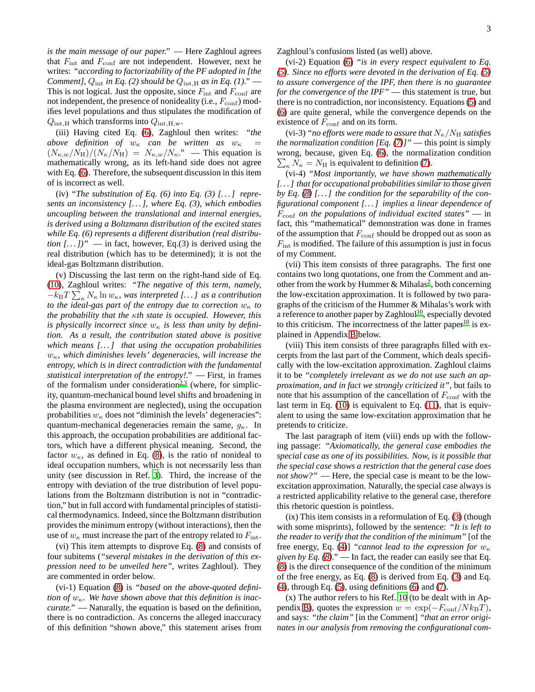*is the main message of our paper."* — Here Zaghloul agrees that  $F_{\text{int}}$  and  $F_{\text{conf}}$  are not independent. However, next he writes: *"according to factorizability of the PF adopted in [the Comment],*  $Q_{int}$  *in Eq. (2) should be*  $Q_{int,H}$  *as in Eq. (1).*" This is not logical. Just the opposite, since  $F_{\text{int}}$  and  $F_{\text{conf}}$  are not independent, the presence of nonideality (i.e.,  $F_{\text{conf}}$ ) modifies level populations and thus stipulates the modification of  $Q_{\text{int,H}}$  which transforms into  $Q_{\text{int,H,w}}$ .

(iii) Having cited Eq. [\(6\)](#page-1-1), Zaghloul then writes: *"the above definition of*  $w_{\kappa}$  *can be written as*  $w_{\kappa}$  =  $(N_{\kappa,w}/N_H)/(N_{\kappa}/N_H) = N_{\kappa,w}/N_{\kappa}$ <sup>"</sup> — This equation is mathematically wrong, as its left-hand side does not agree with Eq. [\(6\)](#page-1-1). Therefore, the subsequent discussion in this item of is incorrect as well.

(iv) *"The substitution of Eq. (6) into Eq. (3) [. . . ] represents an inconsistency [. . . ], where Eq. (3), which embodies uncoupling between the translational and internal energies, is derived using a Boltzmann distribution of the excited states while Eq. (6) represents a different distribution (real distribution*  $[...]$ " — in fact, however, Eq.(3) is derived using the real distribution (which has to be determined); it is not the ideal-gas Boltzmann distribution.

(v) Discussing the last term on the right-hand side of Eq. [\(10\)](#page-1-5), Zaghloul writes: *"The negative of this term, namely,*  $-k_{\rm B}T\sum_{\kappa}N_{\kappa}\ln w_{\kappa}$ , was interpreted [...] as a contribution *to the ideal-gas part of the entropy due to correction*  $w_{\kappa}$  *to the probability that the* κ*th state is occupied. However, this is physically incorrect since*  $w_{\kappa}$  *is less than unity by definition. As a result, the contribution stated above is positive which means [. . . ] that using the occupation probabilities*  $w<sub>κ</sub>$ , which diminishes levels' degeneracies, will increase the *entropy, which is in direct contradiction with the fundamental statistical interpretation of the entropy!."* — First, in frames of the formalism under consideration<sup>[2](#page-3-1)[,3](#page-3-2)</sup> (where, for simplicity, quantum-mechanical bound level shifts and broadening in the plasma environment are neglected), using the occupation probabilities  $w_{\kappa}$  does not "diminish the levels' degeneracies": quantum-mechanical degeneracies remain the same,  $g_{\kappa}$ . In this approach, the occupation probabilities are additional factors, which have a different physical meaning. Second, the factor  $w_{\kappa}$ , as defined in Eq. [\(8\)](#page-1-2), is the ratio of nonideal to ideal occupation numbers, which is not necessarily less than unity (see discussion in Ref. [3\)](#page-3-2). Third, the increase of the entropy with deviation of the true distribution of level populations from the Boltzmann distribution is not in "contradiction," but in full accord with fundamental principles of statistical thermodynamics. Indeed, since the Boltzmann distribution provides the minimum entropy (without interactions), then the use of  $w_{\kappa}$  must increase the part of the entropy related to  $F_{\text{int}}$ .

(vi) This item attempts to disprove Eq. [\(8\)](#page-1-2) and consists of four subitems (*"several mistakes in the derivation of this expression need to be unveiled here"*, writes Zaghloul). They are commented in order below.

(vi-1) Equation [\(8\)](#page-1-2) is *"based on the above-quoted definition of*  $w_{\kappa}$ . We have shown above that this definition is inac*curate."* — Naturally, the equation is based on the definition, there is no contradiction. As concerns the alleged inaccuracy of this definition "shown above," this statement arises from

(vi-2) Equation [\(6\)](#page-1-1) *"is in every respect equivalent to Eq. [\(5\)](#page-1-0). Since no efforts were devoted in the derivation of Eq. [\(5\)](#page-1-0) to assure convergence of the IPF, then there is no guarantee for the convergence of the IPF"* — this statement is true, but there is no contradiction, nor inconsistency. Equations [\(5\)](#page-1-0) and [\(6\)](#page-1-1) are quite general, while the convergence depends on the existence of  $F_{\text{conf}}$  and on its form.

(vi-3) *"no efforts were made to assure that*  $N_{\kappa}/N_{\rm H}$  *satisfies the normalization condition [Eq. [\(7\)](#page-1-3)]"* — this point is simply wrong, because, given Eq. [\(6\)](#page-1-1), the normalization condition  $\sum_{\kappa} N_{\kappa} = N_{\rm H}$  is equivalent to definition [\(7\)](#page-1-3).

(vi-4) *"Most importantly, we have shown mathematically [. . . ] that for occupational probabilities similar to those given by Eq. [\(8\)](#page-1-2) [. . . ] the condition for the separability of the configurational component [. . . ] implies a linear dependence of* Fconf *on the populations of individual excited states"* — in fact, this "mathematical" demonstration was done in frames of the assumption that  $F_{\text{conf}}$  should be dropped out as soon as  $F_{\text{int}}$  is modified. The failure of this assumption is just in focus of my Comment.

(vii) This item consists of three paragraphs. The first one contains two long quotations, one from the Comment and an-other from the work by Hummer & Mihalas<sup>[2](#page-3-1)</sup>, both concerning the low-excitation approximation. It is followed by two paragraphs of the criticism of the Hummer & Mihalas's work with a reference to another paper by Zagh[l](#page-3-9)oul<sup>10</sup>, especially devoted to this criticism. The incorrectness of the latter paper<sup>[10](#page-3-9)</sup> is explained in Appendix [B](#page-3-10) below.

(viii) This item consists of three paragraphs filled with excerpts from the last part of the Comment, which deals specifically with the low-excitation approximation. Zaghloul claims it to be *"completely irrelevant as we do not use such an approximation, and in fact we strongly criticized it"*, but fails to note that his assumption of the cancellation of  $F_{\text{conf}}$  with the last term in Eq. [\(10\)](#page-1-5) is equivalent to Eq. [\(11\)](#page-1-4), that is equivalent to using the same low-excitation approximation that he pretends to criticize.

The last paragraph of item (viii) ends up with the following passage: *"Axiomatically, the general case embodies the special case as one of its possibilities. Now, is it possible that the special case shows a restriction that the general case does not show?"* — Here, the special case is meant to be the lowexcitation approximation. Naturally, the special case always is a restricted applicability relative to the general case, therefore this rhetoric question is pointless.

(ix) This item consists in a reformulation of Eq. [\(3\)](#page-0-2) (though with some misprints), followed by the sentence: *"It is left to the reader to verify that the condition of the minimum"* [of the free energy, Eq. [\(4\)](#page-1-6)] *"cannot lead to the expression for*  $w_{\kappa}$ *given by Eq.*  $(8)$ *."* — In fact, the reader can easily see that Eq. [\(8\)](#page-1-2) is the direct consequence of the condition of the minimum of the free energy, as Eq. [\(8\)](#page-1-2) is derived from Eq. [\(3\)](#page-0-2) and Eq.  $(4)$ , through Eq.  $(5)$ , using definitions  $(6)$  and  $(7)$ .

(x) The author refers to his Ref. [10](#page-3-9) (to be dealt with in Ap-pendix [B\)](#page-3-10), quotes the expression  $w = \exp(-F_{\text{conf}}/N k_{\text{B}}T)$ , and says: *"the claim"* [in the Comment] *"that an error originates in our analysis from removing the configurational com-*